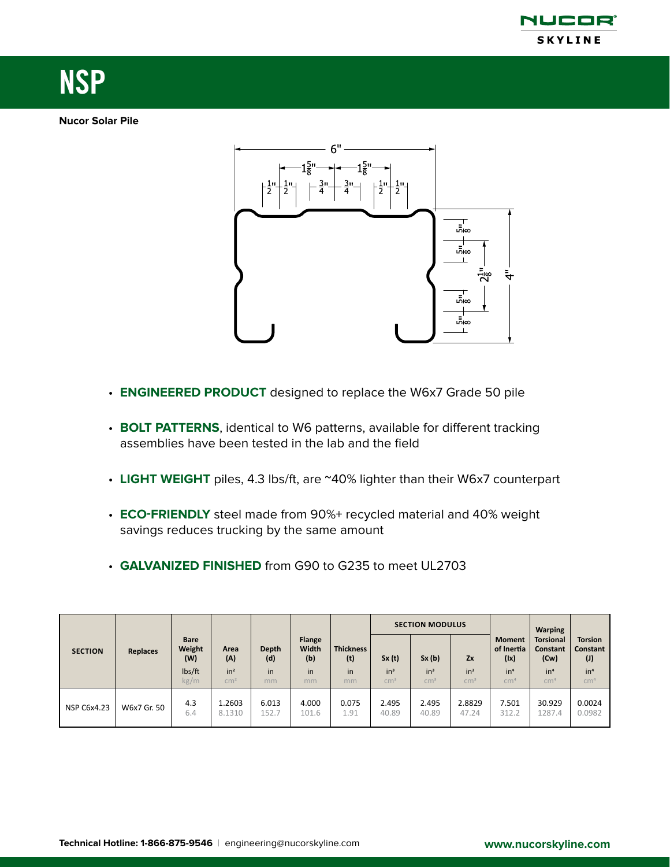

# NSP

# **Nucor Solar Pile**



- **ENGINEERED PRODUCT** designed to replace the W6x7 Grade 50 pile
- **BOLT PATTERNS**, identical to W6 patterns, available for different tracking assemblies have been tested in the lab and the field
- **LIGHT WEIGHT** piles, 4.3 lbs/ft, are ~40% lighter than their W6x7 counterpart
- **ECO-FRIENDLY** steel made from 90%+ recycled material and 40% weight savings reduces trucking by the same amount
- **GALVANIZED FINISHED** from G90 to G235 to meet UL2703

| <b>SECTION</b> | <b>Replaces</b> | <b>Bare</b><br>Weight<br>(W)<br>lbs/ft<br>kg/m |                                                   | Depth<br>(d)<br>in<br>mm | <b>Flange</b><br>Width<br>(b)<br>in<br>mm | <b>Thickness</b><br>(t)<br>in<br>mm | <b>SECTION MODULUS</b>             |                                    |                               |                                                                           | <b>Warping</b>                                                                    |                                                                         |
|----------------|-----------------|------------------------------------------------|---------------------------------------------------|--------------------------|-------------------------------------------|-------------------------------------|------------------------------------|------------------------------------|-------------------------------|---------------------------------------------------------------------------|-----------------------------------------------------------------------------------|-------------------------------------------------------------------------|
|                |                 |                                                | Area<br>(A)<br>in <sup>2</sup><br>cm <sup>2</sup> |                          |                                           |                                     | Sx(t)<br>$in^3$<br>cm <sup>3</sup> | Sx(b)<br>$in^3$<br>cm <sup>3</sup> | Zx<br>$in^3$<br>$\text{cm}^3$ | <b>Moment</b><br>of Inertia<br>(1x)<br>in <sup>4</sup><br>cm <sup>4</sup> | <b>Torsional</b><br><b>Constant</b><br>(Cw)<br>in <sup>4</sup><br>cm <sup>4</sup> | <b>Torsion</b><br>Constant<br>(1)<br>in <sup>4</sup><br>cm <sup>4</sup> |
| NSP C6x4.23    | W6x7 Gr. 50     | 4.3<br>6.4                                     | 1.2603<br>8.1310                                  | 6.013<br>152.7           | 4.000<br>101.6                            | 0.075<br>1.91                       | 2.495<br>40.89                     | 2.495<br>40.89                     | 2.8829<br>47.24               | 7.501<br>312.2                                                            | 30.929<br>1287.4                                                                  | 0.0024<br>0.0982                                                        |